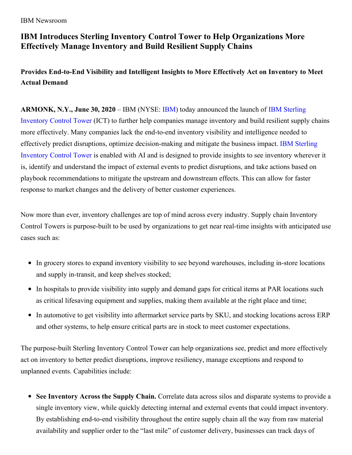IBM Newsroom

## **IBM Introduces Sterling Inventory Control Tower to Help Organizations More Effectively Manage Inventory and Build Resilient Supply Chains**

**Provides End-to-End Visibility and Intelligent Insights to More Effectively Act on Inventory to Meet Actual Demand**

**[ARMONK,](https://www.ibm.com/supply-chain/control-towers) N.Y., June 30, 2020** – IBM (NYSE: [IBM](https://c212.net/c/link/?t=0&l=en&o=2603726-1&h=1376312274&u=http%3A%2F%2Fwww.ibm.com%2Finvestor%2F&a=IBM)) today announced the launch of IBM Sterling Inventory Control Tower (ICT) to further help companies manage inventory and build resilient supply chains more effectively. Many companies lack the end-to-end inventory visibility and intelligence needed to effectively predict disruptions, optimize [decision-making](https://www.ibm.com/supply-chain/control-towers) and mitigate the business impact. IBM Sterling Inventory Control Tower is enabled with AI and is designed to provide insights to see inventory wherever it is, identify and understand the impact of external events to predict disruptions, and take actions based on playbook recommendations to mitigate the upstream and downstream effects. This can allow for faster response to market changes and the delivery of better customer experiences.

Now more than ever, inventory challenges are top of mind across every industry. Supply chain Inventory Control Towers is purpose-built to be used by organizations to get near real-time insights with anticipated use cases such as:

- In grocery stores to expand inventory visibility to see beyond warehouses, including in-store locations and supply in-transit, and keep shelves stocked;
- In hospitals to provide visibility into supply and demand gaps for critical items at PAR locations such as critical lifesaving equipment and supplies, making them available at the right place and time;
- In automotive to get visibility into aftermarket service parts by SKU, and stocking locations across ERP and other systems, to help ensure critical parts are in stock to meet customer expectations.

The purpose-built Sterling Inventory Control Tower can help organizations see, predict and more effectively act on inventory to better predict disruptions, improve resiliency, manage exceptions and respond to unplanned events. Capabilities include:

**See Inventory Across the Supply Chain.** Correlate data across silos and disparate systems to provide a single inventory view, while quickly detecting internal and external events that could impact inventory. By establishing end-to-end visibility throughout the entire supply chain all the way from raw material availability and supplier order to the "last mile" of customer delivery, businesses can track days of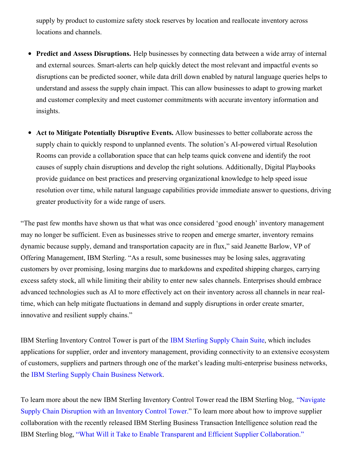supply by product to customize safety stock reserves by location and reallocate inventory across locations and channels.

- **Predict and Assess Disruptions.** Help businesses by connecting data between a wide array of internal  $\bullet$ and external sources. Smart-alerts can help quickly detect the most relevant and impactful events so disruptions can be predicted sooner, while data drill down enabled by natural language queries helps to understand and assess the supply chain impact. This can allow businesses to adapt to growing market and customer complexity and meet customer commitments with accurate inventory information and insights.
- **Act to Mitigate Potentially Disruptive Events.** Allow businesses to better collaborate across the supply chain to quickly respond to unplanned events. The solution's AI-powered virtual Resolution Rooms can provide a collaboration space that can help teams quick convene and identify the root causes of supply chain disruptions and develop the right solutions. Additionally, Digital Playbooks provide guidance on best practices and preserving organizational knowledge to help speed issue resolution over time, while natural language capabilities provide immediate answer to questions, driving greater productivity for a wide range of users.

"The past few months have shown us that what was once considered 'good enough' inventory management may no longer be sufficient. Even as businesses strive to reopen and emerge smarter, inventory remains dynamic because supply, demand and transportation capacity are in flux," said Jeanette Barlow, VP of Offering Management, IBM Sterling. "As a result, some businesses may be losing sales, aggravating customers by over promising, losing margins due to markdowns and expedited shipping charges, carrying excess safety stock, all while limiting their ability to enter new sales channels. Enterprises should embrace advanced technologies such as AI to more effectively act on their inventory across all channels in near realtime, which can help mitigate fluctuations in demand and supply disruptions in order create smarter, innovative and resilient supply chains."

IBM Sterling Inventory Control Tower is part of the IBM [Sterling](https://www.ibm.com/supply-chain/sterling) Supply Chain Suite, which includes applications for supplier, order and inventory management, providing connectivity to an extensive ecosystem of customers, suppliers and partners through one of the market's leading multi-enterprise business networks, the IBM Sterling Supply Chain [Business](https://www.ibm.com/products/supply-chain-business-network) Network.

To learn more about the new IBM Sterling Inventory Control Tower read the IBM Sterling blog, "Navigate Supply Chain [Disruption](https://www.ibm.com/blogs/supply-chain/ibm-supply-chain-disruption-with-an-inventory-control-tower) with an Inventory Control Tower." To learn more about how to improve supplier collaboration with the recently released IBM Sterling Business Transaction Intelligence solution read the IBM Sterling blog, "What Will it Take to Enable Transparent and Efficient Supplier [Collaboration."](https://www.ibm.com/blogs/supply-chain/ibm-trusted-transparent-and-efficient-supplier-collaboration/)